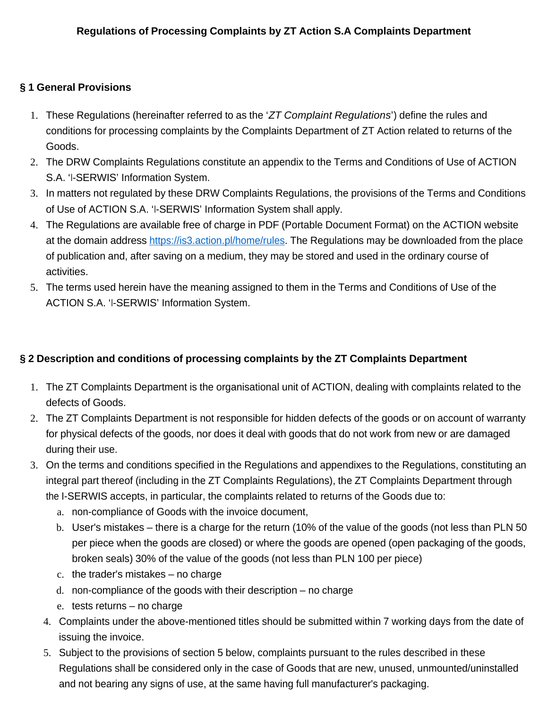## **§ 1 General Provisions**

- 1. These Regulations (hereinafter referred to as the 'ZT Complaint Regulations') define the rules and conditions for processing complaints by the Complaints Department of ZT Action related to returns of the Goods.
- 2. The DRW Complaints Regulations constitute an appendix to the Terms and Conditions of Use of ACTION S.A. 'I-SERWIS' Information System.
- 3. In matters not regulated by these DRW Complaints Regulations, the provisions of the Terms and Conditions of Use of ACTION S.A. 'I-SERWIS' Information System shall apply.
- 4. The Regulations are available free of charge in PDF (Portable Document Format) on the ACTION website at the domain address https://is3.action.pl/home/rules. The Regulations may be downloaded from the place of publication and, after saving on a medium, they may be stored and used in the ordinary course of activities.
- 5. The terms used herein have the meaning assigned to them in the Terms and Conditions of Use of the ACTION S.A. 'I-SERWIS' Information System.

## **§ 2 Description and conditions of processing complaints by the ZT Complaints Department**

- 1. The ZT Complaints Department is the organisational unit of ACTION, dealing with complaints related to the defects of Goods.
- 2. The ZT Complaints Department is not responsible for hidden defects of the goods or on account of warranty for physical defects of the goods, nor does it deal with goods that do not work from new or are damaged during their use.
- 3. On the terms and conditions specified in the Regulations and appendixes to the Regulations, constituting an integral part thereof (including in the ZT Complaints Regulations), the ZT Complaints Department through the I-SERWIS accepts, in particular, the complaints related to returns of the Goods due to:
	- a. non-compliance of Goods with the invoice document,
	- b. User's mistakes there is a charge for the return (10% of the value of the goods (not less than PLN 50 per piece when the goods are closed) or where the goods are opened (open packaging of the goods, broken seals) 30% of the value of the goods (not less than PLN 100 per piece)
	- c. the trader's mistakes no charge
	- d. non-compliance of the goods with their description no charge
	- e. tests returns no charge
	- 4. Complaints under the above-mentioned titles should be submitted within 7 working days from the date of issuing the invoice.
	- 5. Subject to the provisions of section 5 below, complaints pursuant to the rules described in these Regulations shall be considered only in the case of Goods that are new, unused, unmounted/uninstalled and not bearing any signs of use, at the same having full manufacturer's packaging.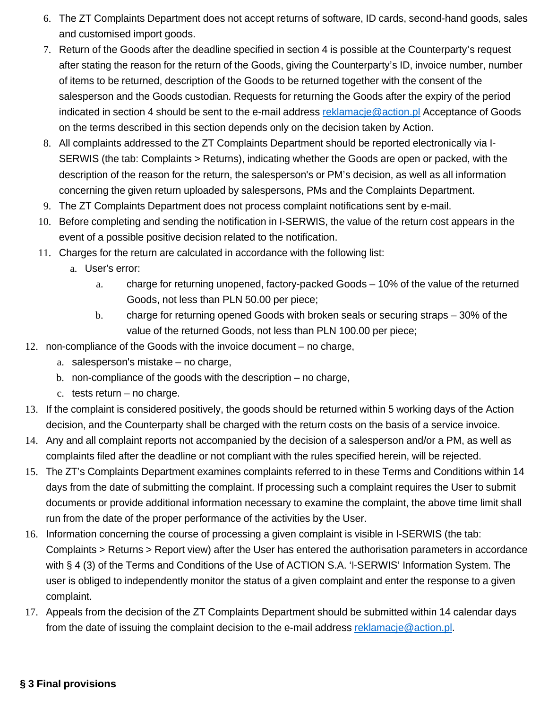- 6. The ZT Complaints Department does not accept returns of software, ID cards, second-hand goods, sales and customised import goods.
- 7. Return of the Goods after the deadline specified in section 4 is possible at the Counterparty's request after stating the reason for the return of the Goods, giving the Counterparty's ID, invoice number, number of items to be returned, description of the Goods to be returned together with the consent of the salesperson and the Goods custodian. Requests for returning the Goods after the expiry of the period indicated in section 4 should be sent to the e-mail address reklamacie@action.pl Acceptance of Goods on the terms described in this section depends only on the decision taken by Action.
- 8. All complaints addressed to the ZT Complaints Department should be reported electronically via I-SERWIS (the tab: Complaints > Returns), indicating whether the Goods are open or packed, with the description of the reason for the return, the salesperson's or PM's decision, as well as all information concerning the given return uploaded by salespersons, PMs and the Complaints Department.
- 9. The ZT Complaints Department does not process complaint notifications sent by e-mail.
- 10. Before completing and sending the notification in I-SERWIS, the value of the return cost appears in the event of a possible positive decision related to the notification.
- 11. Charges for the return are calculated in accordance with the following list:
	- a. User's error:
		- a. charge for returning unopened, factory-packed Goods 10% of the value of the returned Goods, not less than PLN 50.00 per piece;
		- b. charge for returning opened Goods with broken seals or securing straps 30% of the value of the returned Goods, not less than PLN 100.00 per piece;
- 12. non-compliance of the Goods with the invoice document no charge,
	- a. salesperson's mistake no charge,
	- b. non-compliance of the goods with the description no charge,
	- c. tests return no charge.
- 13. If the complaint is considered positively, the goods should be returned within 5 working days of the Action decision, and the Counterparty shall be charged with the return costs on the basis of a service invoice.
- 14. Any and all complaint reports not accompanied by the decision of a salesperson and/or a PM, as well as complaints filed after the deadline or not compliant with the rules specified herein, will be rejected.
- 15. The ZT's Complaints Department examines complaints referred to in these Terms and Conditions within 14 days from the date of submitting the complaint. If processing such a complaint requires the User to submit documents or provide additional information necessary to examine the complaint, the above time limit shall run from the date of the proper performance of the activities by the User.
- 16. Information concerning the course of processing a given complaint is visible in I-SERWIS (the tab: Complaints > Returns > Report view) after the User has entered the authorisation parameters in accordance with § 4 (3) of the Terms and Conditions of the Use of ACTION S.A. 'I-SERWIS' Information System. The user is obliged to independently monitor the status of a given complaint and enter the response to a given complaint.
- 17. Appeals from the decision of the ZT Complaints Department should be submitted within 14 calendar days from the date of issuing the complaint decision to the e-mail address reklamacje@action.pl.